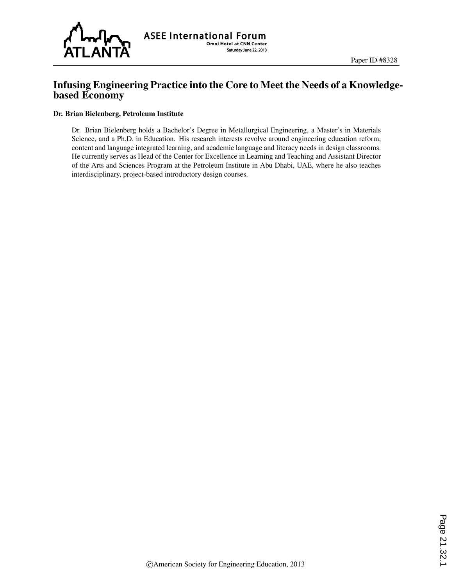

## Infusing Engineering Practice into the Core to Meet the Needs of a Knowledgebased Economy

#### Dr. Brian Bielenberg, Petroleum Institute

Dr. Brian Bielenberg holds a Bachelor's Degree in Metallurgical Engineering, a Master's in Materials Science, and a Ph.D. in Education. His research interests revolve around engineering education reform, content and language integrated learning, and academic language and literacy needs in design classrooms. He currently serves as Head of the Center for Excellence in Learning and Teaching and Assistant Director of the Arts and Sciences Program at the Petroleum Institute in Abu Dhabi, UAE, where he also teaches interdisciplinary, project-based introductory design courses.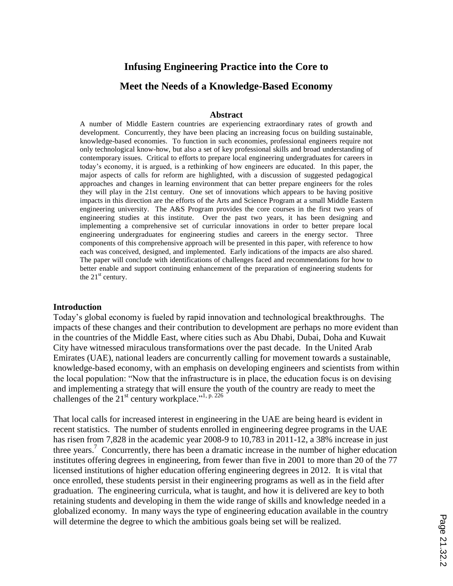# **Infusing Engineering Practice into the Core to Meet the Needs of a Knowledge-Based Economy**

#### **Abstract**

A number of Middle Eastern countries are experiencing extraordinary rates of growth and development. Concurrently, they have been placing an increasing focus on building sustainable, knowledge-based economies. To function in such economies, professional engineers require not only technological know-how, but also a set of key professional skills and broad understanding of contemporary issues. Critical to efforts to prepare local engineering undergraduates for careers in today's economy, it is argued, is a rethinking of how engineers are educated. In this paper, the major aspects of calls for reform are highlighted, with a discussion of suggested pedagogical approaches and changes in learning environment that can better prepare engineers for the roles they will play in the 21st century. One set of innovations which appears to be having positive impacts in this direction are the efforts of the Arts and Science Program at a small Middle Eastern engineering university. The A&S Program provides the core courses in the first two years of engineering studies at this institute. Over the past two years, it has been designing and implementing a comprehensive set of curricular innovations in order to better prepare local engineering undergraduates for engineering studies and careers in the energy sector. Three components of this comprehensive approach will be presented in this paper, with reference to how each was conceived, designed, and implemented. Early indications of the impacts are also shared. The paper will conclude with identifications of challenges faced and recommendations for how to better enable and support continuing enhancement of the preparation of engineering students for the  $21<sup>st</sup>$  century.

#### **Introduction**

Today's global economy is fueled by rapid innovation and technological breakthroughs. The impacts of these changes and their contribution to development are perhaps no more evident than in the countries of the Middle East, where cities such as Abu Dhabi, Dubai, Doha and Kuwait City have witnessed miraculous transformations over the past decade. In the United Arab Emirates (UAE), national leaders are concurrently calling for movement towards a sustainable, knowledge-based economy, with an emphasis on developing engineers and scientists from within the local population: "Now that the infrastructure is in place, the education focus is on devising and implementing a strategy that will ensure the youth of the country are ready to meet the challenges of the  $21^{st}$  century workplace."<sup>1, p. 226</sup>

That local calls for increased interest in engineering in the UAE are being heard is evident in recent statistics. The number of students enrolled in engineering degree programs in the UAE has risen from 7,828 in the academic year 2008-9 to 10,783 in 2011-12, a 38% increase in just three years.<sup>7</sup> Concurrently, there has been a dramatic increase in the number of higher education institutes offering degrees in engineering, from fewer than five in 2001 to more than 20 of the 77 licensed institutions of higher education offering engineering degrees in 2012. It is vital that once enrolled, these students persist in their engineering programs as well as in the field after graduation. The engineering curricula, what is taught, and how it is delivered are key to both retaining students and developing in them the wide range of skills and knowledge needed in a globalized economy. In many ways the type of engineering education available in the country will determine the degree to which the ambitious goals being set will be realized.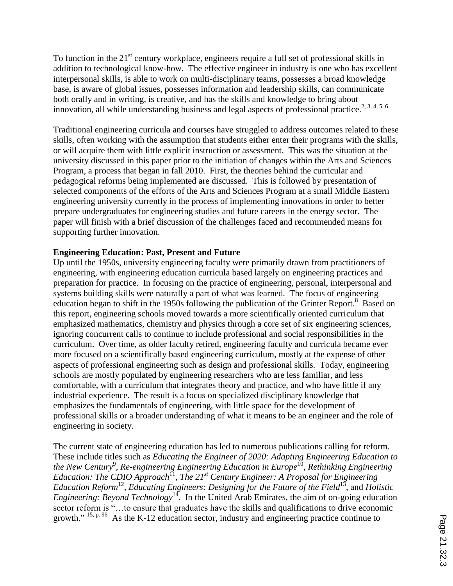To function in the  $21<sup>st</sup>$  century workplace, engineers require a full set of professional skills in addition to technological know-how. The effective engineer in industry is one who has excellent interpersonal skills, is able to work on multi-disciplinary teams, possesses a broad knowledge base, is aware of global issues, possesses information and leadership skills, can communicate both orally and in writing, is creative, and has the skills and knowledge to bring about innovation, all while understanding business and legal aspects of professional practice.<sup>2, 3, 4, 5, 6</sup>

Traditional engineering curricula and courses have struggled to address outcomes related to these skills, often working with the assumption that students either enter their programs with the skills, or will acquire them with little explicit instruction or assessment. This was the situation at the university discussed in this paper prior to the initiation of changes within the Arts and Sciences Program, a process that began in fall 2010. First, the theories behind the curricular and pedagogical reforms being implemented are discussed. This is followed by presentation of selected components of the efforts of the Arts and Sciences Program at a small Middle Eastern engineering university currently in the process of implementing innovations in order to better prepare undergraduates for engineering studies and future careers in the energy sector. The paper will finish with a brief discussion of the challenges faced and recommended means for supporting further innovation.

### **Engineering Education: Past, Present and Future**

Up until the 1950s, university engineering faculty were primarily drawn from practitioners of engineering, with engineering education curricula based largely on engineering practices and preparation for practice. In focusing on the practice of engineering, personal, interpersonal and systems building skills were naturally a part of what was learned. The focus of engineering education began to shift in the 1950s following the publication of the Grinter Report.<sup>8</sup> Based on this report, engineering schools moved towards a more scientifically oriented curriculum that emphasized mathematics, chemistry and physics through a core set of six engineering sciences, ignoring concurrent calls to continue to include professional and social responsibilities in the curriculum. Over time, as older faculty retired, engineering faculty and curricula became ever more focused on a scientifically based engineering curriculum, mostly at the expense of other aspects of professional engineering such as design and professional skills. Today, engineering schools are mostly populated by engineering researchers who are less familiar, and less comfortable, with a curriculum that integrates theory and practice, and who have little if any industrial experience. The result is a focus on specialized disciplinary knowledge that emphasizes the fundamentals of engineering, with little space for the development of professional skills or a broader understanding of what it means to be an engineer and the role of engineering in society.

The current state of engineering education has led to numerous publications calling for reform. These include titles such as *Educating the Engineer of 2020: Adapting Engineering Education to*  the New Century<sup>9</sup>, Re-engineering Engineering Education in Europe<sup>10</sup>, Rethinking Engineering Education: The CDIO Approach<sup>11</sup>, The 21<sup>st</sup> Century Engineer: A Proposal for Engineering Education Reform<sup>12</sup>, Educating Engineers: Designing for the Future of the Field<sup>13</sup>, and *Holistic Engineering: Beyond Technology*<sup>14</sup>. In the United Arab Emirates, the aim of on-going education sector reform is "... to ensure that graduates have the skills and qualifications to drive economic growth."  $15, p. 96$  As the K-12 education sector, industry and engineering practice continue to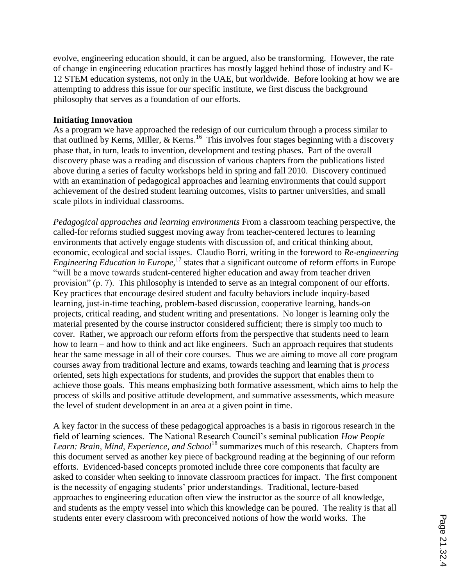evolve, engineering education should, it can be argued, also be transforming. However, the rate of change in engineering education practices has mostly lagged behind those of industry and K-12 STEM education systems, not only in the UAE, but worldwide. Before looking at how we are attempting to address this issue for our specific institute, we first discuss the background philosophy that serves as a foundation of our efforts.

## **Initiating Innovation**

As a program we have approached the redesign of our curriculum through a process similar to that outlined by Kerns, Miller,  $&$  Kerns.<sup>16</sup> This involves four stages beginning with a discovery phase that, in turn, leads to invention, development and testing phases. Part of the overall discovery phase was a reading and discussion of various chapters from the publications listed above during a series of faculty workshops held in spring and fall 2010. Discovery continued with an examination of pedagogical approaches and learning environments that could support achievement of the desired student learning outcomes, visits to partner universities, and small scale pilots in individual classrooms.

*Pedagogical approaches and learning environments* From a classroom teaching perspective, the called-for reforms studied suggest moving away from teacher-centered lectures to learning environments that actively engage students with discussion of, and critical thinking about, economic, ecological and social issues. Claudio Borri, writing in the foreword to *Re-engineering*  Engineering Education in Europe,<sup>17</sup> states that a significant outcome of reform efforts in Europe "will be a move towards student-centered higher education and away from teacher driven provision" (p. 7). This philosophy is intended to serve as an integral component of our efforts. Key practices that encourage desired student and faculty behaviors include inquiry-based learning, just-in-time teaching, problem-based discussion, cooperative learning, hands-on projects, critical reading, and student writing and presentations. No longer is learning only the material presented by the course instructor considered sufficient; there is simply too much to cover. Rather, we approach our reform efforts from the perspective that students need to learn how to learn – and how to think and act like engineers. Such an approach requires that students hear the same message in all of their core courses. Thus we are aiming to move all core program courses away from traditional lecture and exams, towards teaching and learning that is *process* oriented, sets high expectations for students, and provides the support that enables them to achieve those goals. This means emphasizing both formative assessment, which aims to help the process of skills and positive attitude development, and summative assessments, which measure the level of student development in an area at a given point in time.

A key factor in the success of these pedagogical approaches is a basis in rigorous research in the field of learning sciences. The National Research Council's seminal publication *How People Learn: Brain, Mind, Experience, and School*<sup>18</sup> summarizes much of this research. Chapters from this document served as another key piece of background reading at the beginning of our reform efforts. Evidenced-based concepts promoted include three core components that faculty are asked to consider when seeking to innovate classroom practices for impact. The first component is the necessity of engaging students' prior understandings. Traditional, lecture-based approaches to engineering education often view the instructor as the source of all knowledge, and students as the empty vessel into which this knowledge can be poured. The reality is that all students enter every classroom with preconceived notions of how the world works. The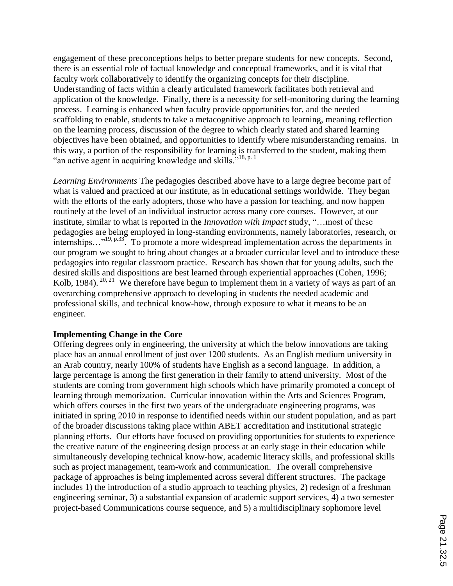engagement of these preconceptions helps to better prepare students for new concepts. Second, there is an essential role of factual knowledge and conceptual frameworks, and it is vital that faculty work collaboratively to identify the organizing concepts for their discipline. Understanding of facts within a clearly articulated framework facilitates both retrieval and application of the knowledge. Finally, there is a necessity for self-monitoring during the learning process. Learning is enhanced when faculty provide opportunities for, and the needed scaffolding to enable, students to take a metacognitive approach to learning, meaning reflection on the learning process, discussion of the degree to which clearly stated and shared learning objectives have been obtained, and opportunities to identify where misunderstanding remains. In this way, a portion of the responsibility for learning is transferred to the student, making them "an active agent in acquiring knowledge and skills."<sup>18, p. 1</sup>

*Learning Environments* The pedagogies described above have to a large degree become part of what is valued and practiced at our institute, as in educational settings worldwide. They began with the efforts of the early adopters, those who have a passion for teaching, and now happen routinely at the level of an individual instructor across many core courses. However, at our institute, similar to what is reported in the *Innovation with Impact* study, "…most of these pedagogies are being employed in long-standing environments, namely laboratories, research, or internships..."<sup>19, p.33</sup>. To promote a more widespread implementation across the departments in our program we sought to bring about changes at a broader curricular level and to introduce these pedagogies into regular classroom practice. Research has shown that for young adults, such the desired skills and dispositions are best learned through experiential approaches (Cohen, 1996; Kolb, 1984). <sup>20, 21</sup> We therefore have begun to implement them in a variety of ways as part of an overarching comprehensive approach to developing in students the needed academic and professional skills, and technical know-how, through exposure to what it means to be an engineer.

## **Implementing Change in the Core**

Offering degrees only in engineering, the university at which the below innovations are taking place has an annual enrollment of just over 1200 students. As an English medium university in an Arab country, nearly 100% of students have English as a second language. In addition, a large percentage is among the first generation in their family to attend university. Most of the students are coming from government high schools which have primarily promoted a concept of learning through memorization. Curricular innovation within the Arts and Sciences Program, which offers courses in the first two years of the undergraduate engineering programs, was initiated in spring 2010 in response to identified needs within our student population, and as part of the broader discussions taking place within ABET accreditation and institutional strategic planning efforts. Our efforts have focused on providing opportunities for students to experience the creative nature of the engineering design process at an early stage in their education while simultaneously developing technical know-how, academic literacy skills, and professional skills such as project management, team-work and communication. The overall comprehensive package of approaches is being implemented across several different structures. The package includes 1) the introduction of a studio approach to teaching physics, 2) redesign of a freshman engineering seminar, 3) a substantial expansion of academic support services, 4) a two semester project-based Communications course sequence, and 5) a multidisciplinary sophomore level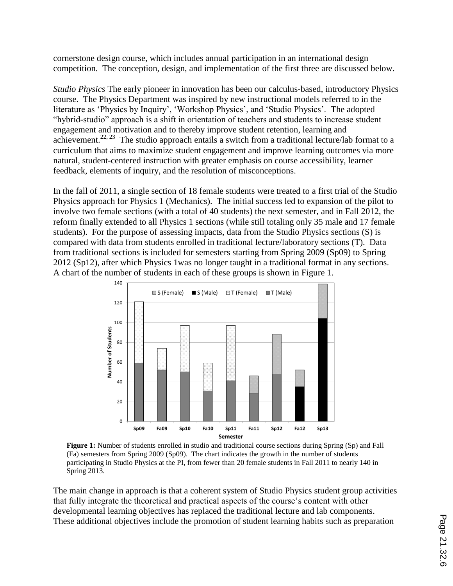cornerstone design course, which includes annual participation in an international design competition. The conception, design, and implementation of the first three are discussed below.

*Studio Physics* The early pioneer in innovation has been our calculus-based, introductory Physics course. The Physics Department was inspired by new instructional models referred to in the literature as 'Physics by Inquiry', 'Workshop Physics', and 'Studio Physics'. The adopted "hybrid-studio" approach is a shift in orientation of teachers and students to increase student engagement and motivation and to thereby improve student retention, learning and achievement.<sup>22, 23</sup> The studio approach entails a switch from a traditional lecture/lab format to a curriculum that aims to maximize student engagement and improve learning outcomes via more natural, student-centered instruction with greater emphasis on course accessibility, learner feedback, elements of inquiry, and the resolution of misconceptions.

In the fall of 2011, a single section of 18 female students were treated to a first trial of the Studio Physics approach for Physics 1 (Mechanics). The initial success led to expansion of the pilot to involve two female sections (with a total of 40 students) the next semester, and in Fall 2012, the reform finally extended to all Physics 1 sections (while still totaling only 35 male and 17 female students). For the purpose of assessing impacts, data from the Studio Physics sections (S) is compared with data from students enrolled in traditional lecture/laboratory sections (T). Data from traditional sections is included for semesters starting from Spring 2009 (Sp09) to Spring 2012 (Sp12), after which Physics 1was no longer taught in a traditional format in any sections. A chart of the number of students in each of these groups is shown in Figure 1.



**Figure 1:** Number of students enrolled in studio and traditional course sections during Spring (Sp) and Fall (Fa) semesters from Spring 2009 (Sp09). The chart indicates the growth in the number of students participating in Studio Physics at the PI, from fewer than 20 female students in Fall 2011 to nearly 140 in Spring 2013.

The main change in approach is that a coherent system of Studio Physics student group activities that fully integrate the theoretical and practical aspects of the course's content with other developmental learning objectives has replaced the traditional lecture and lab components. These additional objectives include the promotion of student learning habits such as preparation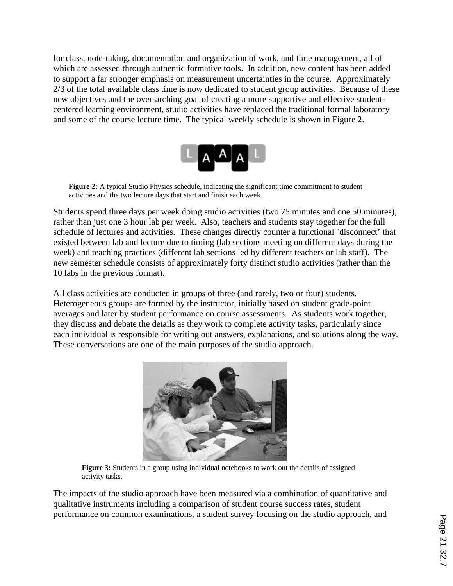for class, note-taking, documentation and organization of work, and time management, all of which are assessed through authentic formative tools. In addition, new content has been added to support a far stronger emphasis on measurement uncertainties in the course. Approximately 2/3 of the total available class time is now dedicated to student group activities. Because of these new objectives and the over-arching goal of creating a more supportive and effective studentcentered learning environment, studio activities have replaced the traditional formal laboratory and some of the course lecture time. The typical weekly schedule is shown in Figure 2.



**Figure 2:** A typical Studio Physics schedule, indicating the significant time commitment to student activities and the two lecture days that start and finish each week.

Students spend three days per week doing studio activities (two 75 minutes and one 50 minutes), rather than just one 3 hour lab per week. Also, teachers and students stay together for the full schedule of lectures and activities. These changes directly counter a functional `disconnect' that existed between lab and lecture due to timing (lab sections meeting on different days during the week) and teaching practices (different lab sections led by different teachers or lab staff). The new semester schedule consists of approximately forty distinct studio activities (rather than the 10 labs in the previous format).

All class activities are conducted in groups of three (and rarely, two or four) students. Heterogeneous groups are formed by the instructor, initially based on student grade-point averages and later by student performance on course assessments. As students work together, they discuss and debate the details as they work to complete activity tasks, particularly since each individual is responsible for writing out answers, explanations, and solutions along the way. These conversations are one of the main purposes of the studio approach.



Figure 3: Students in a group using individual notebooks to work out the details of assigned activity tasks.

The impacts of the studio approach have been measured via a combination of quantitative and qualitative instruments including a comparison of student course success rates, student performance on common examinations, a student survey focusing on the studio approach, and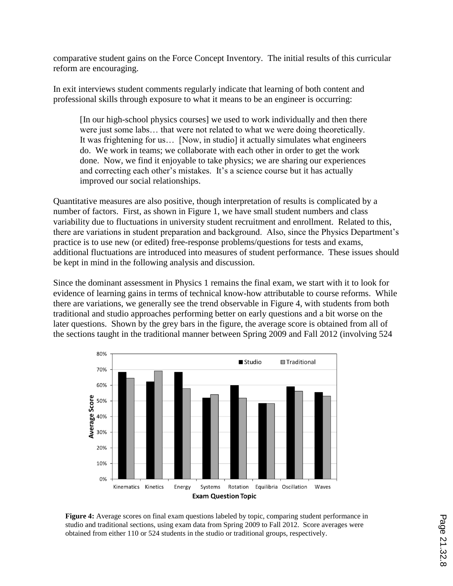comparative student gains on the Force Concept Inventory. The initial results of this curricular reform are encouraging.

In exit interviews student comments regularly indicate that learning of both content and professional skills through exposure to what it means to be an engineer is occurring:

[In our high-school physics courses] we used to work individually and then there were just some labs… that were not related to what we were doing theoretically. It was frightening for us… [Now, in studio] it actually simulates what engineers do. We work in teams; we collaborate with each other in order to get the work done. Now, we find it enjoyable to take physics; we are sharing our experiences and correcting each other's mistakes. It's a science course but it has actually improved our social relationships.

Quantitative measures are also positive, though interpretation of results is complicated by a number of factors. First, as shown in Figure 1, we have small student numbers and class variability due to fluctuations in university student recruitment and enrollment. Related to this, there are variations in student preparation and background. Also, since the Physics Department's practice is to use new (or edited) free-response problems/questions for tests and exams, additional fluctuations are introduced into measures of student performance. These issues should be kept in mind in the following analysis and discussion.

Since the dominant assessment in Physics 1 remains the final exam, we start with it to look for evidence of learning gains in terms of technical know-how attributable to course reforms. While there are variations, we generally see the trend observable in Figure 4, with students from both traditional and studio approaches performing better on early questions and a bit worse on the later questions. Shown by the grey bars in the figure, the average score is obtained from all of the sections taught in the traditional manner between Spring 2009 and Fall 2012 (involving 524



**Figure 4:** Average scores on final exam questions labeled by topic, comparing student performance in studio and traditional sections, using exam data from Spring 2009 to Fall 2012. Score averages were obtained from either 110 or 524 students in the studio or traditional groups, respectively.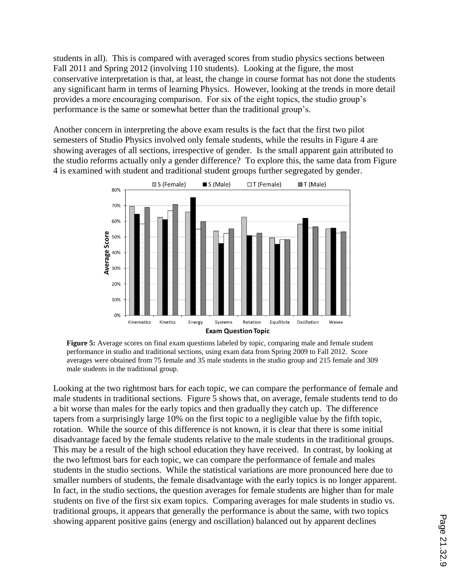students in all). This is compared with averaged scores from studio physics sections between Fall 2011 and Spring 2012 (involving 110 students). Looking at the figure, the most conservative interpretation is that, at least, the change in course format has not done the students any significant harm in terms of learning Physics. However, looking at the trends in more detail provides a more encouraging comparison. For six of the eight topics, the studio group's performance is the same or somewhat better than the traditional group's.

Another concern in interpreting the above exam results is the fact that the first two pilot semesters of Studio Physics involved only female students, while the results in Figure 4 are showing averages of all sections, irrespective of gender. Is the small apparent gain attributed to the studio reforms actually only a gender difference? To explore this, the same data from Figure 4 is examined with student and traditional student groups further segregated by gender.



**Figure 5:** Average scores on final exam questions labeled by topic, comparing male and female student performance in studio and traditional sections, using exam data from Spring 2009 to Fall 2012. Score averages were obtained from 75 female and 35 male students in the studio group and 215 female and 309 male students in the traditional group.

Looking at the two rightmost bars for each topic, we can compare the performance of female and male students in traditional sections. Figure 5 shows that, on average, female students tend to do a bit worse than males for the early topics and then gradually they catch up. The difference tapers from a surprisingly large 10% on the first topic to a negligible value by the fifth topic, rotation. While the source of this difference is not known, it is clear that there is some initial disadvantage faced by the female students relative to the male students in the traditional groups. This may be a result of the high school education they have received. In contrast, by looking at the two leftmost bars for each topic, we can compare the performance of female and males students in the studio sections. While the statistical variations are more pronounced here due to smaller numbers of students, the female disadvantage with the early topics is no longer apparent. In fact, in the studio sections, the question averages for female students are higher than for male students on five of the first six exam topics. Comparing averages for male students in studio vs. traditional groups, it appears that generally the performance is about the same, with two topics showing apparent positive gains (energy and oscillation) balanced out by apparent declines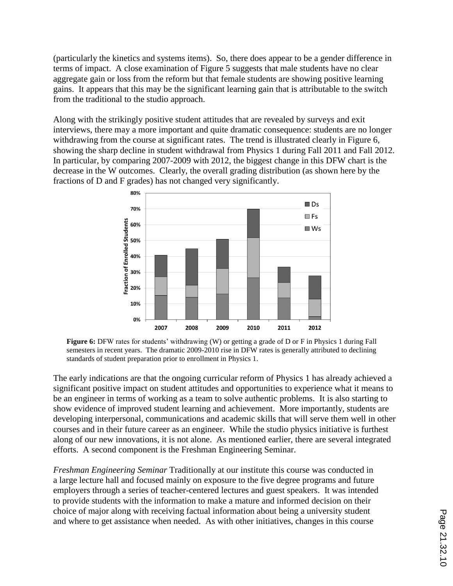(particularly the kinetics and systems items). So, there does appear to be a gender difference in terms of impact. A close examination of Figure 5 suggests that male students have no clear aggregate gain or loss from the reform but that female students are showing positive learning gains. It appears that this may be the significant learning gain that is attributable to the switch from the traditional to the studio approach.

Along with the strikingly positive student attitudes that are revealed by surveys and exit interviews, there may a more important and quite dramatic consequence: students are no longer withdrawing from the course at significant rates. The trend is illustrated clearly in Figure 6, showing the sharp decline in student withdrawal from Physics 1 during Fall 2011 and Fall 2012. In particular, by comparing 2007-2009 with 2012, the biggest change in this DFW chart is the decrease in the W outcomes. Clearly, the overall grading distribution (as shown here by the fractions of D and F grades) has not changed very significantly.



Figure 6: DFW rates for students' withdrawing (W) or getting a grade of D or F in Physics 1 during Fall semesters in recent years. The dramatic 2009-2010 rise in DFW rates is generally attributed to declining standards of student preparation prior to enrollment in Physics 1.

The early indications are that the ongoing curricular reform of Physics 1 has already achieved a significant positive impact on student attitudes and opportunities to experience what it means to be an engineer in terms of working as a team to solve authentic problems. It is also starting to show evidence of improved student learning and achievement. More importantly, students are developing interpersonal, communications and academic skills that will serve them well in other courses and in their future career as an engineer. While the studio physics initiative is furthest along of our new innovations, it is not alone. As mentioned earlier, there are several integrated efforts. A second component is the Freshman Engineering Seminar.

*Freshman Engineering Seminar* Traditionally at our institute this course was conducted in a large lecture hall and focused mainly on exposure to the five degree programs and future employers through a series of teacher-centered lectures and guest speakers. It was intended to provide students with the information to make a mature and informed decision on their choice of major along with receiving factual information about being a university student and where to get assistance when needed. As with other initiatives, changes in this course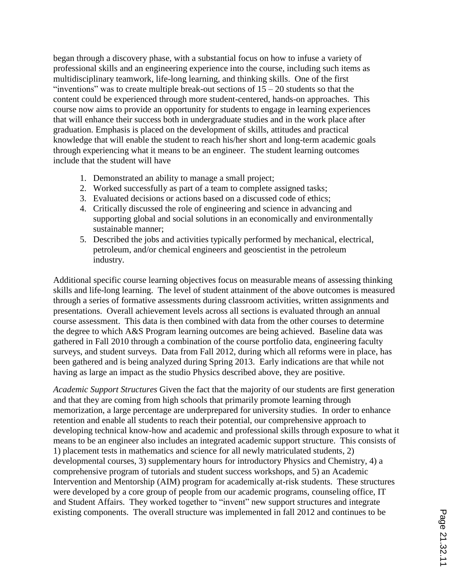began through a discovery phase, with a substantial focus on how to infuse a variety of professional skills and an engineering experience into the course, including such items as multidisciplinary teamwork, life-long learning, and thinking skills. One of the first "inventions" was to create multiple break-out sections of  $15 - 20$  students so that the content could be experienced through more student-centered, hands-on approaches. This course now aims to provide an opportunity for students to engage in learning experiences that will enhance their success both in undergraduate studies and in the work place after graduation. Emphasis is placed on the development of skills, attitudes and practical knowledge that will enable the student to reach his/her short and long-term academic goals through experiencing what it means to be an engineer. The student learning outcomes include that the student will have

- 1. Demonstrated an ability to manage a small project;
- 2. Worked successfully as part of a team to complete assigned tasks;
- 3. Evaluated decisions or actions based on a discussed code of ethics;
- 4. Critically discussed the role of engineering and science in advancing and supporting global and social solutions in an economically and environmentally sustainable manner;
- 5. Described the jobs and activities typically performed by mechanical, electrical, petroleum, and/or chemical engineers and geoscientist in the petroleum industry.

Additional specific course learning objectives focus on measurable means of assessing thinking skills and life-long learning. The level of student attainment of the above outcomes is measured through a series of formative assessments during classroom activities, written assignments and presentations. Overall achievement levels across all sections is evaluated through an annual course assessment. This data is then combined with data from the other courses to determine the degree to which A&S Program learning outcomes are being achieved. Baseline data was gathered in Fall 2010 through a combination of the course portfolio data, engineering faculty surveys, and student surveys. Data from Fall 2012, during which all reforms were in place, has been gathered and is being analyzed during Spring 2013. Early indications are that while not having as large an impact as the studio Physics described above, they are positive.

*Academic Support Structures* Given the fact that the majority of our students are first generation and that they are coming from high schools that primarily promote learning through memorization, a large percentage are underprepared for university studies. In order to enhance retention and enable all students to reach their potential, our comprehensive approach to developing technical know-how and academic and professional skills through exposure to what it means to be an engineer also includes an integrated academic support structure. This consists of 1) placement tests in mathematics and science for all newly matriculated students, 2) developmental courses, 3) supplementary hours for introductory Physics and Chemistry, 4) a comprehensive program of tutorials and student success workshops, and 5) an Academic Intervention and Mentorship (AIM) program for academically at-risk students. These structures were developed by a core group of people from our academic programs, counseling office, IT and Student Affairs. They worked together to "invent" new support structures and integrate existing components. The overall structure was implemented in fall 2012 and continues to be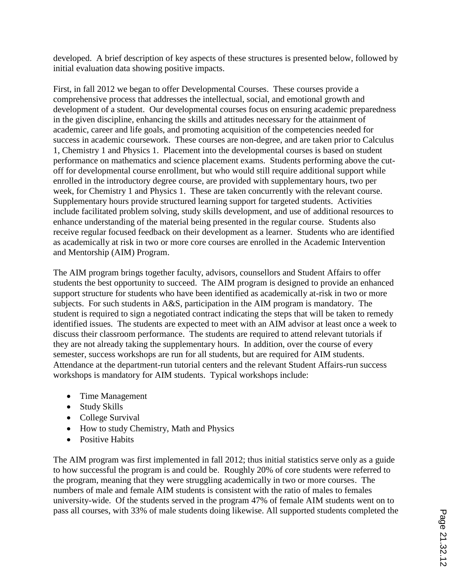developed. A brief description of key aspects of these structures is presented below, followed by initial evaluation data showing positive impacts.

First, in fall 2012 we began to offer Developmental Courses. These courses provide a comprehensive process that addresses the intellectual, social, and emotional growth and development of a student. Our developmental courses focus on ensuring academic preparedness in the given discipline, enhancing the skills and attitudes necessary for the attainment of academic, career and life goals, and promoting acquisition of the competencies needed for success in academic coursework. These courses are non-degree, and are taken prior to Calculus 1, Chemistry 1 and Physics 1. Placement into the developmental courses is based on student performance on mathematics and science placement exams. Students performing above the cutoff for developmental course enrollment, but who would still require additional support while enrolled in the introductory degree course, are provided with supplementary hours, two per week, for Chemistry 1 and Physics 1. These are taken concurrently with the relevant course. Supplementary hours provide structured learning support for targeted students. Activities include facilitated problem solving, study skills development, and use of additional resources to enhance understanding of the material being presented in the regular course. Students also receive regular focused feedback on their development as a learner. Students who are identified as academically at risk in two or more core courses are enrolled in the Academic Intervention and Mentorship (AIM) Program.

The AIM program brings together faculty, advisors, counsellors and Student Affairs to offer students the best opportunity to succeed. The AIM program is designed to provide an enhanced support structure for students who have been identified as academically at-risk in two or more subjects. For such students in A&S, participation in the AIM program is mandatory. The student is required to sign a negotiated contract indicating the steps that will be taken to remedy identified issues. The students are expected to meet with an AIM advisor at least once a week to discuss their classroom performance. The students are required to attend relevant tutorials if they are not already taking the supplementary hours. In addition, over the course of every semester, success workshops are run for all students, but are required for AIM students. Attendance at the department-run tutorial centers and the relevant Student Affairs-run success workshops is mandatory for AIM students. Typical workshops include:

- Time Management
- Study Skills
- College Survival
- How to study Chemistry, Math and Physics
- Positive Habits

The AIM program was first implemented in fall 2012; thus initial statistics serve only as a guide to how successful the program is and could be. Roughly 20% of core students were referred to the program, meaning that they were struggling academically in two or more courses. The numbers of male and female AIM students is consistent with the ratio of males to females university-wide. Of the students served in the program 47% of female AIM students went on to pass all courses, with 33% of male students doing likewise. All supported students completed the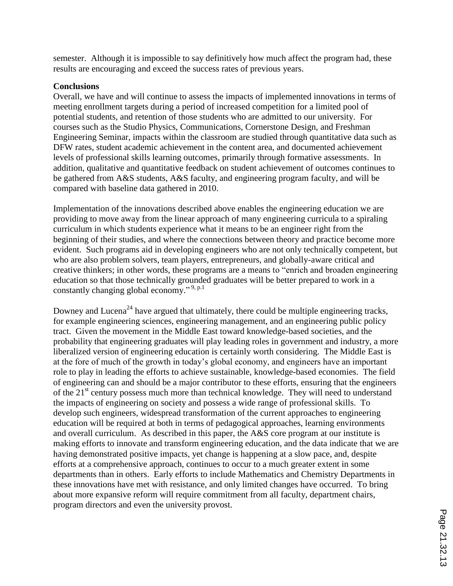semester. Although it is impossible to say definitively how much affect the program had, these results are encouraging and exceed the success rates of previous years.

## **Conclusions**

Overall, we have and will continue to assess the impacts of implemented innovations in terms of meeting enrollment targets during a period of increased competition for a limited pool of potential students, and retention of those students who are admitted to our university. For courses such as the Studio Physics, Communications, Cornerstone Design, and Freshman Engineering Seminar, impacts within the classroom are studied through quantitative data such as DFW rates, student academic achievement in the content area, and documented achievement levels of professional skills learning outcomes, primarily through formative assessments. In addition, qualitative and quantitative feedback on student achievement of outcomes continues to be gathered from A&S students, A&S faculty, and engineering program faculty, and will be compared with baseline data gathered in 2010.

Implementation of the innovations described above enables the engineering education we are providing to move away from the linear approach of many engineering curricula to a spiraling curriculum in which students experience what it means to be an engineer right from the beginning of their studies, and where the connections between theory and practice become more evident. Such programs aid in developing engineers who are not only technically competent, but who are also problem solvers, team players, entrepreneurs, and globally-aware critical and creative thinkers; in other words, these programs are a means to "enrich and broaden engineering education so that those technically grounded graduates will be better prepared to work in a constantly changing global economy."<sup>9, p.1</sup>

Downey and Lucena<sup>24</sup> have argued that ultimately, there could be multiple engineering tracks, for example engineering sciences, engineering management, and an engineering public policy tract. Given the movement in the Middle East toward knowledge-based societies, and the probability that engineering graduates will play leading roles in government and industry, a more liberalized version of engineering education is certainly worth considering. The Middle East is at the fore of much of the growth in today's global economy, and engineers have an important role to play in leading the efforts to achieve sustainable, knowledge-based economies. The field of engineering can and should be a major contributor to these efforts, ensuring that the engineers of the  $21<sup>st</sup>$  century possess much more than technical knowledge. They will need to understand the impacts of engineering on society and possess a wide range of professional skills. To develop such engineers, widespread transformation of the current approaches to engineering education will be required at both in terms of pedagogical approaches, learning environments and overall curriculum. As described in this paper, the A&S core program at our institute is making efforts to innovate and transform engineering education, and the data indicate that we are having demonstrated positive impacts, yet change is happening at a slow pace, and, despite efforts at a comprehensive approach, continues to occur to a much greater extent in some departments than in others. Early efforts to include Mathematics and Chemistry Departments in these innovations have met with resistance, and only limited changes have occurred. To bring about more expansive reform will require commitment from all faculty, department chairs, program directors and even the university provost.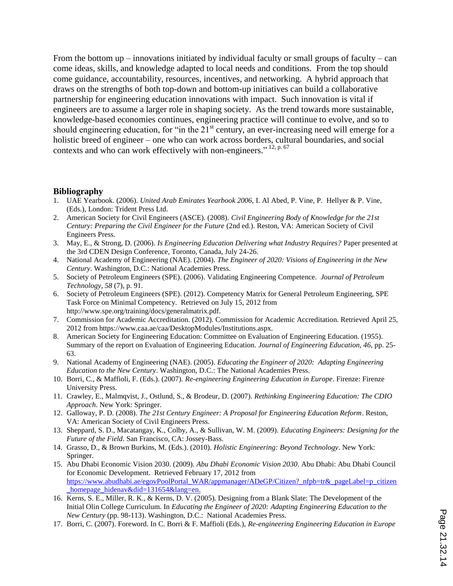From the bottom  $up$  – innovations initiated by individual faculty or small groups of faculty – can come ideas, skills, and knowledge adapted to local needs and conditions. From the top should come guidance, accountability, resources, incentives, and networking. A hybrid approach that draws on the strengths of both top-down and bottom-up initiatives can build a collaborative partnership for engineering education innovations with impact. Such innovation is vital if engineers are to assume a larger role in shaping society. As the trend towards more sustainable, knowledge-based economies continues, engineering practice will continue to evolve, and so to should engineering education, for "in the  $21<sup>st</sup>$  century, an ever-increasing need will emerge for a holistic breed of engineer – one who can work across borders, cultural boundaries, and social contexts and who can work effectively with non-engineers."  $12$ , p. 67

#### **Bibliography**

- 1. UAE Yearbook. (2006). *United Arab Emirates Yearbook 2006,* I. Al Abed, P. Vine, P. Hellyer & P. Vine, (Eds.), London: Trident Press Ltd.
- 2. American Society for Civil Engineers (ASCE). (2008). *Civil Engineering Body of Knowledge for the 21st Century: Preparing the Civil Engineer for the Future* (2nd ed.). Reston, VA: American Society of Civil Engineers Press.
- 3. May, E., & Strong, D. (2006). *Is Engineering Education Delivering what Industry Requires?* Paper presented at the 3rd CDEN Design Conference, Toronto, Canada, July 24-26.
- 4. National Academy of Engineering (NAE). (2004). *The Engineer of 2020: Visions of Engineering in the New Century*. Washington, D.C.: National Academies Press.
- 5. Society of Petroleum Engineers (SPE). (2006). Validating Engineering Competence. *Journal of Petroleum Technology, 58* (7), p. 91.
- 6. Society of Petroleum Engineers (SPE). (2012). Competency Matrix for General Petroleum Engineering, SPE Task Force on Minimal Competency. Retrieved on July 15, 2012 from http://www.spe.org/training/docs/generalmatrix.pdf.
- 7. Commission for Academic Accreditation. (2012). Commission for Academic Accreditation. Retrieved April 25, 2012 from https://www.caa.ae/caa/DesktopModules/Institutions.aspx.
- 8. American Society for Engineering Education: Committee on Evaluation of Engineering Education. (1955). Summary of the report on Evaluation of Engineering Education. *Journal of Engineering Education, 46*, pp. 25- 63.
- 9. National Academy of Engineering (NAE). (2005). *Educating the Engineer of 2020: Adapting Engineering Education to the New Century*. Washington, D.C.: The National Academies Press.
- 10. Borri, C., & Maffioli, F. (Eds.). (2007). *Re-engineering Engineering Education in Europe*. Firenze: Firenze University Press.
- 11. Crawley, E., Malmqvist, J., Ostlund, S., & Brodeur, D. (2007). *Rethinking Engineering Education: The CDIO Approach*. New York: Springer.
- 12. Galloway, P. D. (2008). *The 21st Century Engineer: A Proposal for Engineering Education Reform*. Reston, VA: American Society of Civil Engineers Press.
- 13. Sheppard, S. D., Macatangay, K., Colby, A., & Sullivan, W. M. (2009). *Educating Engineers: Designing for the Future of the Field*. San Francisco, CA: Jossey-Bass.
- 14. Grasso, D., & Brown Burkins, M. (Eds.). (2010). *Holistic Engineering: Beyond Technology*. New York: Springer.
- 15. Abu Dhabi Economic Vision 2030. (2009). *Abu Dhabi Economic Vision 2030*. Abu Dhabi: Abu Dhabi Council for Economic Development. Retrieved February 17, 2012 from https://www.abudhabi.ae/egovPoolPortal\_WAR/appmanager/ADeGP/Citizen?\_nfpb=tr&\_pageLabel=p\_citizen \_homepage\_hidenav&did=131654&lang=en.
- 16. Kerns, S. E., Miller, R. K., & Kerns, D. V. (2005). Designing from a Blank Slate: The Development of the Initial Olin College Curriculum. In *Educating the Engineer of 2020: Adapting Engineering Education to the New Century* (pp. 98-113). Washington, D.C.: National Academies Press.
- 17. Borri, C. (2007). Foreword. In C. Borri & F. Maffioli (Eds.), *Re-engineering Engineering Education in Europe*